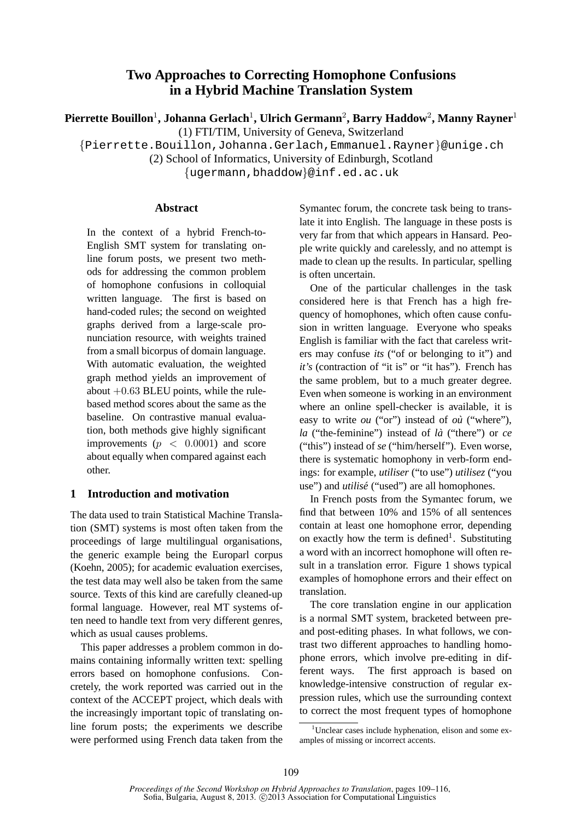# **Two Approaches to Correcting Homophone Confusions in a Hybrid Machine Translation System**

**Pierrette Bouillon**<sup>1</sup> **, Johanna Gerlach**<sup>1</sup> **, Ulrich Germann**<sup>2</sup> **, Barry Haddow**<sup>2</sup> **, Manny Rayner**<sup>1</sup>

(1) FTI/TIM, University of Geneva, Switzerland

{Pierrette.Bouillon,Johanna.Gerlach,Emmanuel.Rayner}@unige.ch

(2) School of Informatics, University of Edinburgh, Scotland

{ugermann,bhaddow}@inf.ed.ac.uk

# **Abstract**

In the context of a hybrid French-to-English SMT system for translating online forum posts, we present two methods for addressing the common problem of homophone confusions in colloquial written language. The first is based on hand-coded rules; the second on weighted graphs derived from a large-scale pronunciation resource, with weights trained from a small bicorpus of domain language. With automatic evaluation, the weighted graph method yields an improvement of about  $+0.63$  BLEU points, while the rulebased method scores about the same as the baseline. On contrastive manual evaluation, both methods give highly significant improvements ( $p < 0.0001$ ) and score about equally when compared against each other.

# **1 Introduction and motivation**

The data used to train Statistical Machine Translation (SMT) systems is most often taken from the proceedings of large multilingual organisations, the generic example being the Europarl corpus (Koehn, 2005); for academic evaluation exercises, the test data may well also be taken from the same source. Texts of this kind are carefully cleaned-up formal language. However, real MT systems often need to handle text from very different genres, which as usual causes problems.

This paper addresses a problem common in domains containing informally written text: spelling errors based on homophone confusions. Concretely, the work reported was carried out in the context of the ACCEPT project, which deals with the increasingly important topic of translating online forum posts; the experiments we describe were performed using French data taken from the Symantec forum, the concrete task being to translate it into English. The language in these posts is very far from that which appears in Hansard. People write quickly and carelessly, and no attempt is made to clean up the results. In particular, spelling is often uncertain.

One of the particular challenges in the task considered here is that French has a high frequency of homophones, which often cause confusion in written language. Everyone who speaks English is familiar with the fact that careless writers may confuse *its* ("of or belonging to it") and *it's* (contraction of "it is" or "it has"). French has the same problem, but to a much greater degree. Even when someone is working in an environment where an online spell-checker is available, it is easy to write *ou* ("or") instead of *ou`* ("where"), *la* ("the-feminine") instead of *la`* ("there") or *ce* ("this") instead of *se* ("him/herself"). Even worse, there is systematic homophony in verb-form endings: for example, *utiliser* ("to use") *utilisez* ("you use") and *utilisé* ("used") are all homophones.

In French posts from the Symantec forum, we find that between 10% and 15% of all sentences contain at least one homophone error, depending on exactly how the term is defined<sup>1</sup>. Substituting a word with an incorrect homophone will often result in a translation error. Figure 1 shows typical examples of homophone errors and their effect on translation.

The core translation engine in our application is a normal SMT system, bracketed between preand post-editing phases. In what follows, we contrast two different approaches to handling homophone errors, which involve pre-editing in different ways. The first approach is based on knowledge-intensive construction of regular expression rules, which use the surrounding context to correct the most frequent types of homophone

 $1$ Unclear cases include hyphenation, elison and some examples of missing or incorrect accents.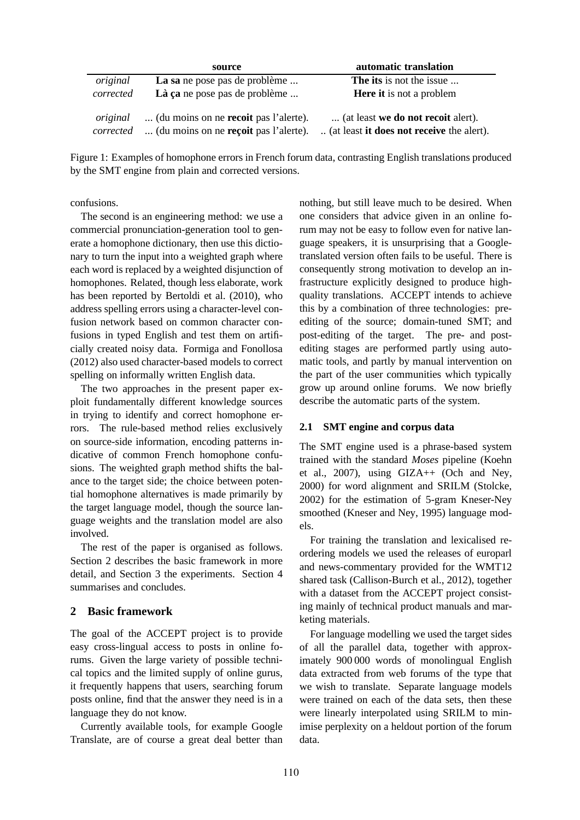|                       | source                                                                                | automatic translation                                                           |
|-----------------------|---------------------------------------------------------------------------------------|---------------------------------------------------------------------------------|
| original              | La sa ne pose pas de problème                                                         | <b>The its</b> is not the issue                                                 |
| corrected             | Là ça ne pose pas de problème                                                         | <b>Here it</b> is not a problem                                                 |
| original<br>corrected | (du moins on ne <b>recoit</b> pas l'alerte).<br>(du moins on ne reçoit pas l'alerte). | (at least we do not recoit alert).<br>(at least it does not receive the alert). |

Figure 1: Examples of homophone errors in French forum data, contrasting English translations produced by the SMT engine from plain and corrected versions.

confusions.

The second is an engineering method: we use a commercial pronunciation-generation tool to generate a homophone dictionary, then use this dictionary to turn the input into a weighted graph where each word is replaced by a weighted disjunction of homophones. Related, though less elaborate, work has been reported by Bertoldi et al. (2010), who address spelling errors using a character-level confusion network based on common character confusions in typed English and test them on artificially created noisy data. Formiga and Fonollosa (2012) also used character-based models to correct spelling on informally written English data.

The two approaches in the present paper exploit fundamentally different knowledge sources in trying to identify and correct homophone errors. The rule-based method relies exclusively on source-side information, encoding patterns indicative of common French homophone confusions. The weighted graph method shifts the balance to the target side; the choice between potential homophone alternatives is made primarily by the target language model, though the source language weights and the translation model are also involved.

The rest of the paper is organised as follows. Section 2 describes the basic framework in more detail, and Section 3 the experiments. Section 4 summarises and concludes.

# **2 Basic framework**

The goal of the ACCEPT project is to provide easy cross-lingual access to posts in online forums. Given the large variety of possible technical topics and the limited supply of online gurus, it frequently happens that users, searching forum posts online, find that the answer they need is in a language they do not know.

Currently available tools, for example Google Translate, are of course a great deal better than nothing, but still leave much to be desired. When one considers that advice given in an online forum may not be easy to follow even for native language speakers, it is unsurprising that a Googletranslated version often fails to be useful. There is consequently strong motivation to develop an infrastructure explicitly designed to produce highquality translations. ACCEPT intends to achieve this by a combination of three technologies: preediting of the source; domain-tuned SMT; and post-editing of the target. The pre- and postediting stages are performed partly using automatic tools, and partly by manual intervention on the part of the user communities which typically grow up around online forums. We now briefly describe the automatic parts of the system.

# **2.1 SMT engine and corpus data**

The SMT engine used is a phrase-based system trained with the standard *Moses* pipeline (Koehn et al., 2007), using GIZA++ (Och and Ney, 2000) for word alignment and SRILM (Stolcke, 2002) for the estimation of 5-gram Kneser-Ney smoothed (Kneser and Ney, 1995) language models.

For training the translation and lexicalised reordering models we used the releases of europarl and news-commentary provided for the WMT12 shared task (Callison-Burch et al., 2012), together with a dataset from the ACCEPT project consisting mainly of technical product manuals and marketing materials.

For language modelling we used the target sides of all the parallel data, together with approximately 900 000 words of monolingual English data extracted from web forums of the type that we wish to translate. Separate language models were trained on each of the data sets, then these were linearly interpolated using SRILM to minimise perplexity on a heldout portion of the forum data.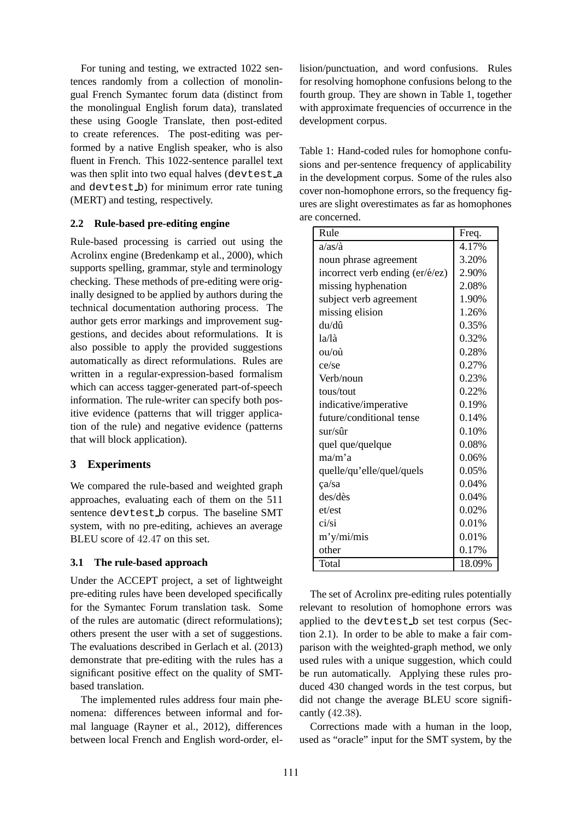For tuning and testing, we extracted 1022 sentences randomly from a collection of monolingual French Symantec forum data (distinct from the monolingual English forum data), translated these using Google Translate, then post-edited to create references. The post-editing was performed by a native English speaker, who is also fluent in French. This 1022-sentence parallel text was then split into two equal halves (devtest a and devtest b) for minimum error rate tuning (MERT) and testing, respectively.

#### **2.2 Rule-based pre-editing engine**

Rule-based processing is carried out using the Acrolinx engine (Bredenkamp et al., 2000), which supports spelling, grammar, style and terminology checking. These methods of pre-editing were originally designed to be applied by authors during the technical documentation authoring process. The author gets error markings and improvement suggestions, and decides about reformulations. It is also possible to apply the provided suggestions automatically as direct reformulations. Rules are written in a regular-expression-based formalism which can access tagger-generated part-of-speech information. The rule-writer can specify both positive evidence (patterns that will trigger application of the rule) and negative evidence (patterns that will block application).

# **3 Experiments**

We compared the rule-based and weighted graph approaches, evaluating each of them on the 511 sentence devtest b corpus. The baseline SMT system, with no pre-editing, achieves an average BLEU score of 42.47 on this set.

#### **3.1 The rule-based approach**

Under the ACCEPT project, a set of lightweight pre-editing rules have been developed specifically for the Symantec Forum translation task. Some of the rules are automatic (direct reformulations); others present the user with a set of suggestions. The evaluations described in Gerlach et al. (2013) demonstrate that pre-editing with the rules has a significant positive effect on the quality of SMTbased translation.

The implemented rules address four main phenomena: differences between informal and formal language (Rayner et al., 2012), differences between local French and English word-order, ellision/punctuation, and word confusions. Rules for resolving homophone confusions belong to the fourth group. They are shown in Table 1, together with approximate frequencies of occurrence in the development corpus.

Table 1: Hand-coded rules for homophone confusions and per-sentence frequency of applicability in the development corpus. Some of the rules also cover non-homophone errors, so the frequency figures are slight overestimates as far as homophones are concerned.

| Rule                            | Freq.    |  |
|---------------------------------|----------|--|
| $a/as/\grave{a}$                | 4.17%    |  |
| noun phrase agreement           | 3.20%    |  |
| incorrect verb ending (er/é/ez) | 2.90%    |  |
| missing hyphenation             | 2.08%    |  |
| subject verb agreement          | 1.90%    |  |
| missing elision                 | 1.26%    |  |
| du/dû                           | 0.35%    |  |
| $la/\hbar$                      | 0.32%    |  |
| ou/où                           | 0.28%    |  |
| ce/se                           | 0.27%    |  |
| Verb/noun                       | 0.23%    |  |
| tous/tout                       | 0.22%    |  |
| indicative/imperative           | 0.19%    |  |
| future/conditional tense        | 0.14%    |  |
| sur/sûr                         | 0.10%    |  |
| quel que/quelque                | 0.08%    |  |
| ma/m'a                          | 0.06%    |  |
| quelle/qu'elle/quel/quels       | $0.05\%$ |  |
| ça/sa                           | 0.04%    |  |
| des/dès                         | 0.04%    |  |
| et/est                          | 0.02%    |  |
| ci/si                           | 0.01%    |  |
| m'y/min/mis                     | 0.01%    |  |
| other                           | 0.17%    |  |
| Total                           | 18.09%   |  |

The set of Acrolinx pre-editing rules potentially relevant to resolution of homophone errors was applied to the devtest b set test corpus (Section 2.1). In order to be able to make a fair comparison with the weighted-graph method, we only used rules with a unique suggestion, which could be run automatically. Applying these rules produced 430 changed words in the test corpus, but did not change the average BLEU score significantly (42.38).

Corrections made with a human in the loop, used as "oracle" input for the SMT system, by the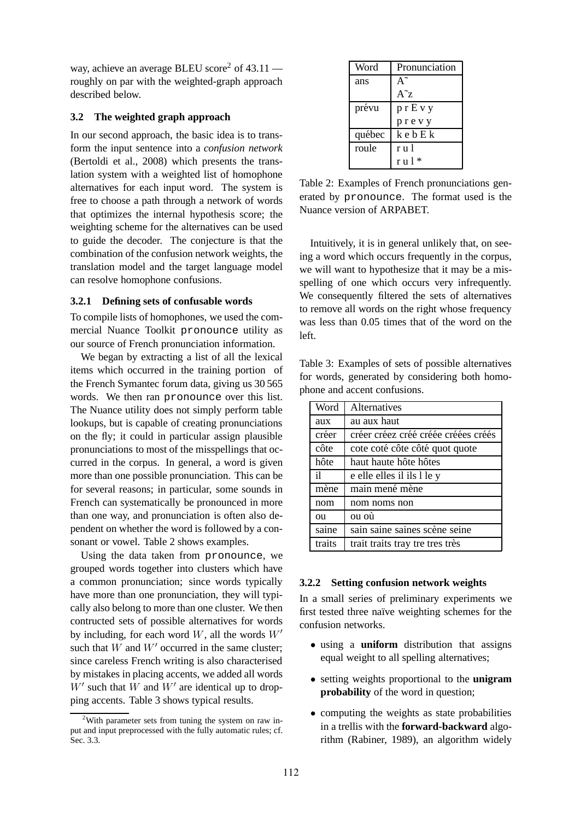way, achieve an average BLEU score<sup>2</sup> of  $43.11$ roughly on par with the weighted-graph approach described below.

#### **3.2 The weighted graph approach**

In our second approach, the basic idea is to transform the input sentence into a *confusion network* (Bertoldi et al., 2008) which presents the translation system with a weighted list of homophone alternatives for each input word. The system is free to choose a path through a network of words that optimizes the internal hypothesis score; the weighting scheme for the alternatives can be used to guide the decoder. The conjecture is that the combination of the confusion network weights, the translation model and the target language model can resolve homophone confusions.

#### **3.2.1 Defining sets of confusable words**

To compile lists of homophones, we used the commercial Nuance Toolkit pronounce utility as our source of French pronunciation information.

We began by extracting a list of all the lexical items which occurred in the training portion of the French Symantec forum data, giving us 30 565 words. We then ran pronounce over this list. The Nuance utility does not simply perform table lookups, but is capable of creating pronunciations on the fly; it could in particular assign plausible pronunciations to most of the misspellings that occurred in the corpus. In general, a word is given more than one possible pronunciation. This can be for several reasons; in particular, some sounds in French can systematically be pronounced in more than one way, and pronunciation is often also dependent on whether the word is followed by a consonant or vowel. Table 2 shows examples.

Using the data taken from pronounce, we grouped words together into clusters which have a common pronunciation; since words typically have more than one pronunciation, they will typically also belong to more than one cluster. We then contructed sets of possible alternatives for words by including, for each word  $W$ , all the words  $W'$ such that W and  $W'$  occurred in the same cluster; since careless French writing is also characterised by mistakes in placing accents, we added all words  $W'$  such that  $W$  and  $W'$  are identical up to dropping accents. Table 3 shows typical results.

| Word   | Pronunciation |  |  |
|--------|---------------|--|--|
| ans    |               |  |  |
|        | $A^z$ z       |  |  |
| prévu  | p r E v y     |  |  |
|        | prevy         |  |  |
| québec | k e b E k     |  |  |
| roule  | r u l         |  |  |
|        | $ru1*$        |  |  |

Table 2: Examples of French pronunciations generated by pronounce. The format used is the Nuance version of ARPABET.

Intuitively, it is in general unlikely that, on seeing a word which occurs frequently in the corpus, we will want to hypothesize that it may be a misspelling of one which occurs very infrequently. We consequently filtered the sets of alternatives to remove all words on the right whose frequency was less than 0.05 times that of the word on the left.

Table 3: Examples of sets of possible alternatives for words, generated by considering both homophone and accent confusions.

| Word         | <b>Alternatives</b>                 |
|--------------|-------------------------------------|
| aux          | au aux haut                         |
| créer        | créer créez créé créée créées créés |
| côte         | cote coté côte côté quot quote      |
| hôte         | haut haute hôte hôtes               |
| $\mathbf{i}$ | e elle elles il ils l le y          |
| mène         | main mené mène                      |
| nom          | nom noms non                        |
| ou           | ou où                               |
| saine        | sain saine saines scène seine       |
| traits       | trait traits tray tre tres très     |

#### **3.2.2 Setting confusion network weights**

In a small series of preliminary experiments we first tested three naïve weighting schemes for the confusion networks.

- using a **uniform** distribution that assigns equal weight to all spelling alternatives;
- setting weights proportional to the **unigram probability** of the word in question;
- computing the weights as state probabilities in a trellis with the **forward-backward** algorithm (Rabiner, 1989), an algorithm widely

 $2$ With parameter sets from tuning the system on raw input and input preprocessed with the fully automatic rules; cf. Sec. 3.3.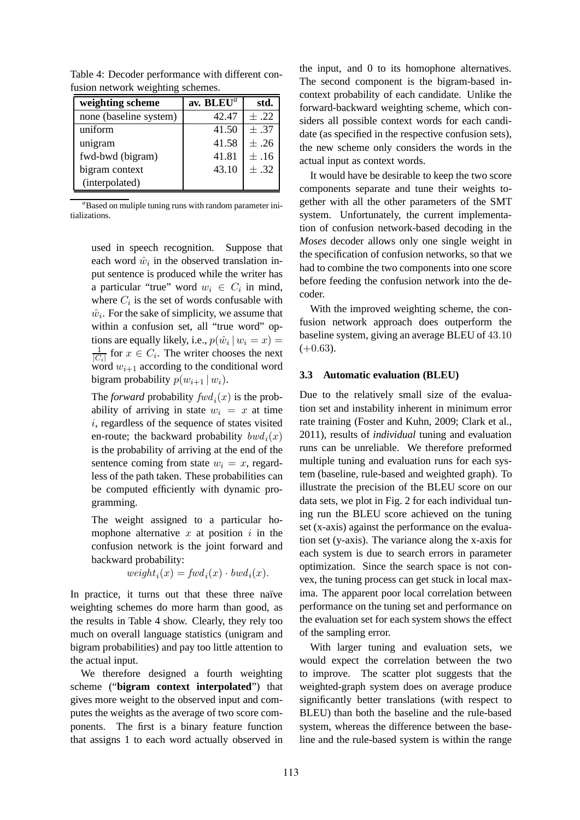| weighting scheme       | av. BLEU <sup>a</sup> | std.      |
|------------------------|-----------------------|-----------|
| none (baseline system) | 42.47                 | $\pm .22$ |
| uniform                | 41.50                 | $\pm .37$ |
| unigram                | 41.58                 | $\pm .26$ |
| fwd-bwd (bigram)       | 41.81                 | $\pm .16$ |
| bigram context         | 43.10                 | $\pm .32$ |
| (interpolated)         |                       |           |

Table 4: Decoder performance with different confusion network weighting schemes.

*<sup>a</sup>*Based on muliple tuning runs with random parameter initializations.

used in speech recognition. Suppose that each word  $\hat{w}_i$  in the observed translation input sentence is produced while the writer has a particular "true" word  $w_i \in C_i$  in mind, where  $C_i$  is the set of words confusable with  $\hat{w}_i$ . For the sake of simplicity, we assume that within a confusion set, all "true word" options are equally likely, i.e.,  $p(\hat{w}_i | w_i = x) =$  $\frac{1}{|C_i|}$  for  $x \in C_i$ . The writer chooses the next word  $w_{i+1}$  according to the conditional word bigram probability  $p(w_{i+1} | w_i)$ .

The *forward* probability  $fwd_i(x)$  is the probability of arriving in state  $w_i = x$  at time i, regardless of the sequence of states visited en-route; the backward probability  $bwd_i(x)$ is the probability of arriving at the end of the sentence coming from state  $w_i = x$ , regardless of the path taken. These probabilities can be computed efficiently with dynamic programming.

The weight assigned to a particular homophone alternative  $x$  at position  $i$  in the confusion network is the joint forward and backward probability:

$$
weight_i(x) = fwd_i(x) \cdot bwd_i(x).
$$

In practice, it turns out that these three naïve weighting schemes do more harm than good, as the results in Table 4 show. Clearly, they rely too much on overall language statistics (unigram and bigram probabilities) and pay too little attention to the actual input.

We therefore designed a fourth weighting scheme ("**bigram context interpolated**") that gives more weight to the observed input and computes the weights as the average of two score components. The first is a binary feature function that assigns 1 to each word actually observed in

the input, and 0 to its homophone alternatives. The second component is the bigram-based incontext probability of each candidate. Unlike the forward-backward weighting scheme, which considers all possible context words for each candidate (as specified in the respective confusion sets), the new scheme only considers the words in the actual input as context words.

It would have be desirable to keep the two score components separate and tune their weights together with all the other parameters of the SMT system. Unfortunately, the current implementation of confusion network-based decoding in the *Moses* decoder allows only one single weight in the specification of confusion networks, so that we had to combine the two components into one score before feeding the confusion network into the decoder.

With the improved weighting scheme, the confusion network approach does outperform the baseline system, giving an average BLEU of 43.10  $(+0.63)$ .

#### **3.3 Automatic evaluation (BLEU)**

Due to the relatively small size of the evaluation set and instability inherent in minimum error rate training (Foster and Kuhn, 2009; Clark et al., 2011), results of *individual* tuning and evaluation runs can be unreliable. We therefore preformed multiple tuning and evaluation runs for each system (baseline, rule-based and weighted graph). To illustrate the precision of the BLEU score on our data sets, we plot in Fig. 2 for each individual tuning run the BLEU score achieved on the tuning set (x-axis) against the performance on the evaluation set (y-axis). The variance along the x-axis for each system is due to search errors in parameter optimization. Since the search space is not convex, the tuning process can get stuck in local maxima. The apparent poor local correlation between performance on the tuning set and performance on the evaluation set for each system shows the effect of the sampling error.

With larger tuning and evaluation sets, we would expect the correlation between the two to improve. The scatter plot suggests that the weighted-graph system does on average produce significantly better translations (with respect to BLEU) than both the baseline and the rule-based system, whereas the difference between the baseline and the rule-based system is within the range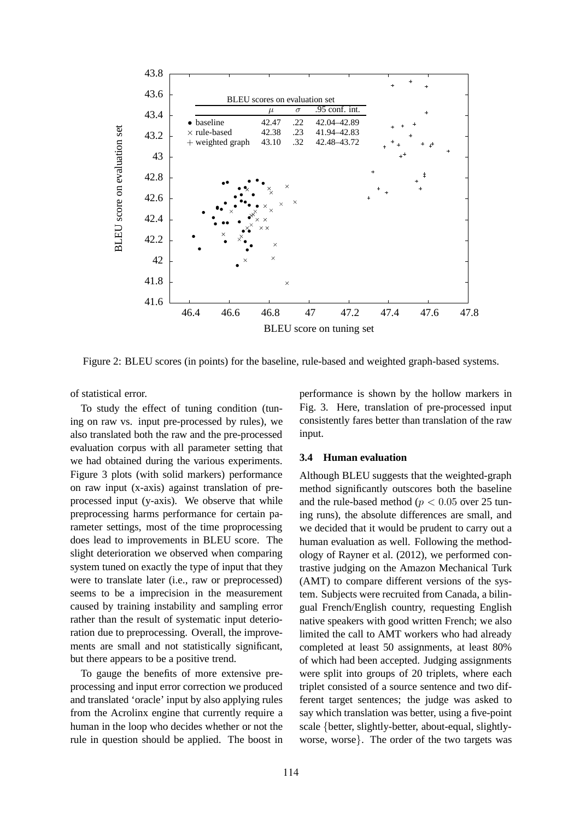

Figure 2: BLEU scores (in points) for the baseline, rule-based and weighted graph-based systems.

of statistical error.

To study the effect of tuning condition (tuning on raw vs. input pre-processed by rules), we also translated both the raw and the pre-processed evaluation corpus with all parameter setting that we had obtained during the various experiments. Figure 3 plots (with solid markers) performance on raw input (x-axis) against translation of preprocessed input (y-axis). We observe that while preprocessing harms performance for certain parameter settings, most of the time proprocessing does lead to improvements in BLEU score. The slight deterioration we observed when comparing system tuned on exactly the type of input that they were to translate later (i.e., raw or preprocessed) seems to be a imprecision in the measurement caused by training instability and sampling error rather than the result of systematic input deterioration due to preprocessing. Overall, the improvements are small and not statistically significant, but there appears to be a positive trend.

To gauge the benefits of more extensive preprocessing and input error correction we produced and translated 'oracle' input by also applying rules from the Acrolinx engine that currently require a human in the loop who decides whether or not the rule in question should be applied. The boost in

performance is shown by the hollow markers in Fig. 3. Here, translation of pre-processed input consistently fares better than translation of the raw input.

#### **3.4 Human evaluation**

Although BLEU suggests that the weighted-graph method significantly outscores both the baseline and the rule-based method ( $p < 0.05$  over 25 tuning runs), the absolute differences are small, and we decided that it would be prudent to carry out a human evaluation as well. Following the methodology of Rayner et al. (2012), we performed contrastive judging on the Amazon Mechanical Turk (AMT) to compare different versions of the system. Subjects were recruited from Canada, a bilingual French/English country, requesting English native speakers with good written French; we also limited the call to AMT workers who had already completed at least 50 assignments, at least 80% of which had been accepted. Judging assignments were split into groups of 20 triplets, where each triplet consisted of a source sentence and two different target sentences; the judge was asked to say which translation was better, using a five-point scale {better, slightly-better, about-equal, slightlyworse, worse}. The order of the two targets was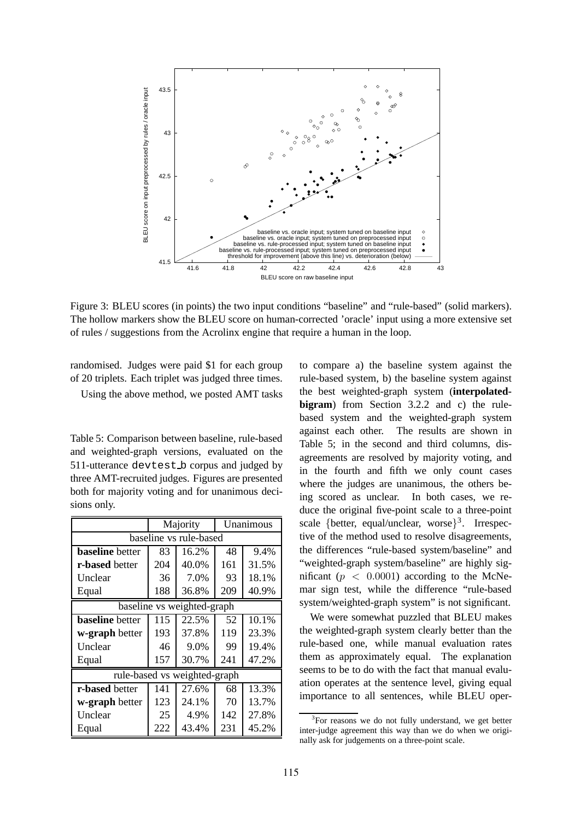

Figure 3: BLEU scores (in points) the two input conditions "baseline" and "rule-based" (solid markers). The hollow markers show the BLEU score on human-corrected 'oracle' input using a more extensive set of rules / suggestions from the Acrolinx engine that require a human in the loop.

randomised. Judges were paid \$1 for each group of 20 triplets. Each triplet was judged three times.

Using the above method, we posted AMT tasks

Table 5: Comparison between baseline, rule-based and weighted-graph versions, evaluated on the 511-utterance devtest b corpus and judged by three AMT-recruited judges. Figures are presented both for majority voting and for unanimous decisions only.

|                              | Majority |       | Unanimous |       |  |  |  |  |
|------------------------------|----------|-------|-----------|-------|--|--|--|--|
| baseline vs rule-based       |          |       |           |       |  |  |  |  |
| <b>baseline</b> better       | 83       | 16.2% | 48        | 9.4%  |  |  |  |  |
| r-based better               | 204      | 40.0% | 161       | 31.5% |  |  |  |  |
| Unclear                      | 36       | 7.0%  | 93        | 18.1% |  |  |  |  |
| Equal                        | 188      | 36.8% | 209       | 40.9% |  |  |  |  |
| baseline vs weighted-graph   |          |       |           |       |  |  |  |  |
| <b>baseline</b> better       | 115      | 22.5% | 52        | 10.1% |  |  |  |  |
| w-graph better               | 193      | 37.8% | 119       | 23.3% |  |  |  |  |
| Unclear                      | 46       | 9.0%  | 99        | 19.4% |  |  |  |  |
| Equal                        | 157      | 30.7% | 241       | 47.2% |  |  |  |  |
| rule-based vs weighted-graph |          |       |           |       |  |  |  |  |
| r-based better               | 141      | 27.6% | 68        | 13.3% |  |  |  |  |
| w-graph better               | 123      | 24.1% | 70        | 13.7% |  |  |  |  |
| Unclear                      | 25       | 4.9%  | 142       | 27.8% |  |  |  |  |
| Equal                        | 222      | 43.4% | 231       | 45.2% |  |  |  |  |

to compare a) the baseline system against the rule-based system, b) the baseline system against the best weighted-graph system (**interpolatedbigram**) from Section 3.2.2 and c) the rulebased system and the weighted-graph system against each other. The results are shown in Table 5; in the second and third columns, disagreements are resolved by majority voting, and in the fourth and fifth we only count cases where the judges are unanimous, the others being scored as unclear. In both cases, we reduce the original five-point scale to a three-point scale {better, equal/unclear, worse}<sup>3</sup>. Irrespective of the method used to resolve disagreements, the differences "rule-based system/baseline" and "weighted-graph system/baseline" are highly significant ( $p < 0.0001$ ) according to the McNemar sign test, while the difference "rule-based system/weighted-graph system" is not significant.

We were somewhat puzzled that BLEU makes the weighted-graph system clearly better than the rule-based one, while manual evaluation rates them as approximately equal. The explanation seems to be to do with the fact that manual evaluation operates at the sentence level, giving equal importance to all sentences, while BLEU oper-

<sup>&</sup>lt;sup>3</sup>For reasons we do not fully understand, we get better inter-judge agreement this way than we do when we originally ask for judgements on a three-point scale.